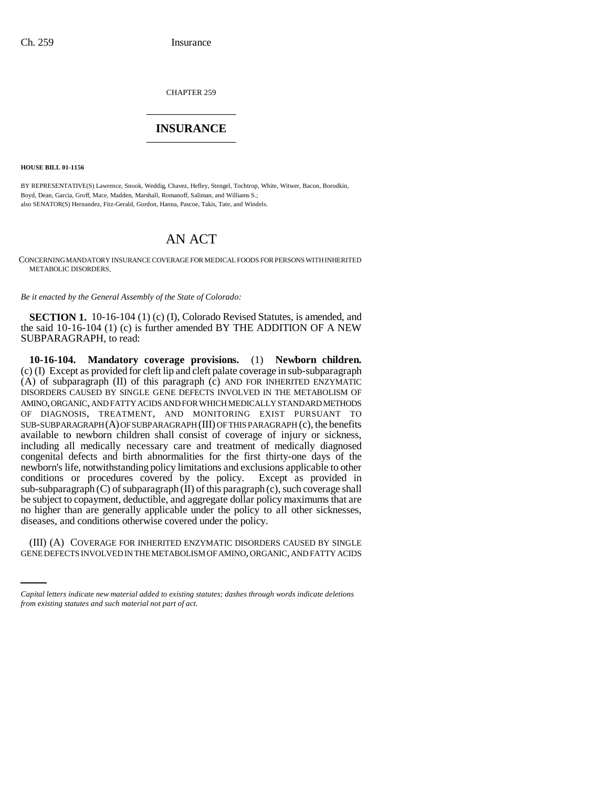CHAPTER 259 \_\_\_\_\_\_\_\_\_\_\_\_\_\_\_

## **INSURANCE** \_\_\_\_\_\_\_\_\_\_\_\_\_\_\_

**HOUSE BILL 01-1156**

BY REPRESENTATIVE(S) Lawrence, Snook, Weddig, Chavez, Hefley, Stengel, Tochtrop, White, Witwer, Bacon, Borodkin, Boyd, Dean, Garcia, Groff, Mace, Madden, Marshall, Romanoff, Saliman, and Williams S.; also SENATOR(S) Hernandez, Fitz-Gerald, Gordon, Hanna, Pascoe, Takis, Tate, and Windels.

## AN ACT

CONCERNING MANDATORY INSURANCE COVERAGE FOR MEDICAL FOODS FOR PERSONS WITH INHERITED METABOLIC DISORDERS.

*Be it enacted by the General Assembly of the State of Colorado:*

**SECTION 1.** 10-16-104 (1) (c) (I), Colorado Revised Statutes, is amended, and the said 10-16-104 (1) (c) is further amended BY THE ADDITION OF A NEW SUBPARAGRAPH, to read:

**10-16-104. Mandatory coverage provisions.** (1) **Newborn children.** (c) (I) Except as provided for cleft lip and cleft palate coverage in sub-subparagraph (A) of subparagraph (II) of this paragraph (c) AND FOR INHERITED ENZYMATIC DISORDERS CAUSED BY SINGLE GENE DEFECTS INVOLVED IN THE METABOLISM OF AMINO, ORGANIC, AND FATTY ACIDS AND FOR WHICH MEDICALLY STANDARD METHODS OF DIAGNOSIS, TREATMENT, AND MONITORING EXIST PURSUANT TO SUB-SUBPARAGRAPH (A) OF SUBPARAGRAPH (III) OF THIS PARAGRAPH (c), the benefits available to newborn children shall consist of coverage of injury or sickness, including all medically necessary care and treatment of medically diagnosed congenital defects and birth abnormalities for the first thirty-one days of the newborn's life, notwithstanding policy limitations and exclusions applicable to other conditions or procedures covered by the policy. Except as provided in sub-subparagraph  $(C)$  of subparagraph  $(II)$  of this paragraph  $(c)$ , such coverage shall be subject to copayment, deductible, and aggregate dollar policy maximums that are no higher than are generally applicable under the policy to all other sicknesses, diseases, and conditions otherwise covered under the policy.

(III) (A) COVERAGE FOR INHERITED ENZYMATIC DISORDERS CAUSED BY SINGLE GENE DEFECTS INVOLVED IN THE METABOLISM OF AMINO, ORGANIC, AND FATTY ACIDS

*Capital letters indicate new material added to existing statutes; dashes through words indicate deletions from existing statutes and such material not part of act.*